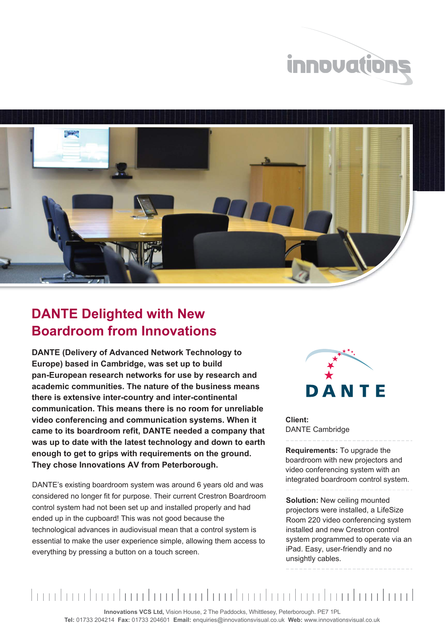



## **DANTE Delighted with New Boardroom from Innovations**

**DANTE (Delivery of Advanced Network Technology to Europe) based in Cambridge, was set up to build pan-European research networks for use by research and academic communities. The nature of the business means there is extensive inter-country and inter-continental communication. This means there is no room for unreliable video conferencing and communication systems. When it came to its boardroom refit, DANTE needed a company that was up to date with the latest technology and down to earth enough to get to grips with requirements on the ground. They chose Innovations AV from Peterborough.**

DANTE's existing boardroom system was around 6 years old and was considered no longer fit for purpose. Their current Crestron Boardroom control system had not been set up and installed properly and had ended up in the cupboard! This was not good because the technological advances in audiovisual mean that a control system is essential to make the user experience simple, allowing them access to everything by pressing a button on a touch screen.



**Client:** DANTE Cambridge

**Requirements:** To upgrade the boardroom with new projectors and video conferencing system with an integrated boardroom control system.

**Solution:** New ceiling mounted projectors were installed, a LifeSize Room 220 video conferencing system installed and new Crestron control system programmed to operate via an iPad. Easy, user-friendly and no unsightly cables.

## <u>Imulaadaadaadaadaadaadaadaadaadaadaad</u>

**Innovations VCS Ltd,** Vision House, 2 The Paddocks, Whittlesey, Peterborough. PE7 1PL **Tel:** 01733 204214 **Fax:** 01733 204601 **Email:** enquiries@innovationsvisual.co.uk **Web:** www.innovationsvisual.co.uk